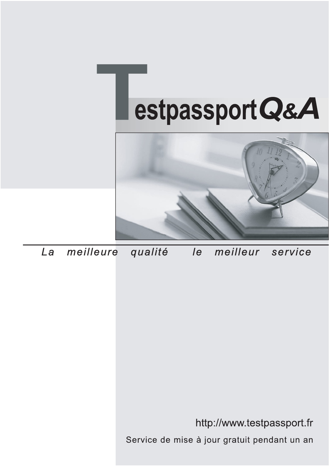



meilleure La qualité  $\overline{e}$ meilleur service

http://www.testpassport.fr

Service de mise à jour gratuit pendant un an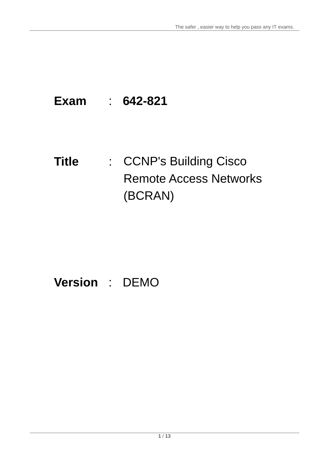## **Exam** : **642-821**

# Title : CCNP's Building Cisco Remote Access Networks (BCRAN)

## **Version** : DEMO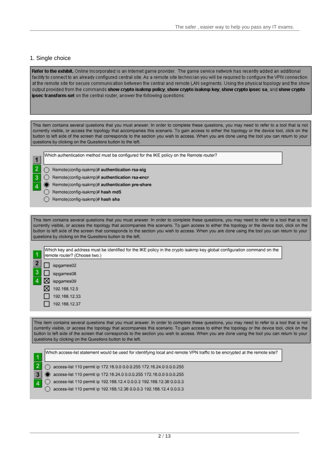### 1. Single choice

Refer to the exhibit. Online Incorporated is an Internet game provider. The game service network has recently added an additional facility to connect to an already configured central site. As a remote site technician you will be required to configure the VPN connection at the remote site for secure communication between the central and remote LAN segments. Using the physical topology and the show output provided from the commands show crypto isakmp policy, show crypto isakmp key, show crypto ipsec sa, and show crypto ipsec transform-set on the central router, answer the following questions:

This item contains several questions that you must answer. In order to complete these questions, you may need to refer to a tool that is not currently visible, or access the topology that accompanies this scenario. To gain access to either the topology or the device tool, click on the button to left side of the screen that corresponds to the section you wish to access. When you are done using the tool you can return to your questions by clicking on the Questions button to the left.

| Which authentication method must be configured for the IKE policy on the Remote router? |  |  |  |  |
|-----------------------------------------------------------------------------------------|--|--|--|--|
|                                                                                         |  |  |  |  |

| - 1 | $\overline{R}$ |
|-----|----------------|
|     | R              |
| ۰   | $\overline{R}$ |
|     |                |

**STATE** 

- emote(config-isakmp)# authentication rsa-sig
- emote(config-isakmp)# authentication rsa-encr
- emote(config-isakmp)# authentication pre-share
- Remote(config-isakmp)# hash md5
- Remote(config-isakmp)# hash sha

This item contains several questions that you must answer. In order to complete these questions, you may need to refer to a tool that is not currently visible, or access the topology that accompanies this scenario. To gain access to either the topology or the device tool, click on the button to left side of the screen that corresponds to the section you wish to access. When you are done using the tool you can return to your questions by clicking on the Questions button to the left.



This item contains several questions that you must answer. In order to complete these questions, you may need to refer to a tool that is not currently visible, or access the topology that accompanies this scenario. To gain access to either the topology or the device tool, click on the button to left side of the screen that corresponds to the section you wish to access. When you are done using the tool you can return to your questions by clicking on the Questions button to the left.

| Which access-list statement would be used for identifying local and remote VPN traffic to be encrypted at the remote site? |
|----------------------------------------------------------------------------------------------------------------------------|
| access-list 110 permit ip 172.16.0.0 0.0.0.255 172.16.24.0 0.0.0.255                                                       |
| access-list 110 permit ip 172.16.24.0 0.0.0.255 172.16.0.0 0.0.0.255                                                       |
| access-list 110 permit ip 192.168.12.4 0.0.0.3 192.168.12.36 0.0.0.3                                                       |
| access-list 110 permit ip 192.168.12.36 0.0.0.3 192.168.12.4 0.0.0.3                                                       |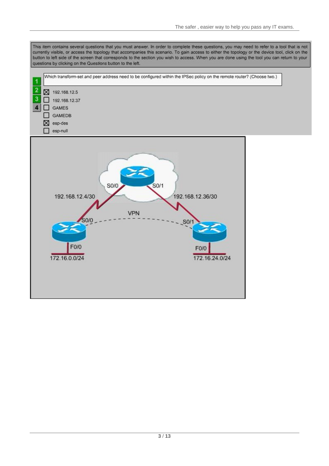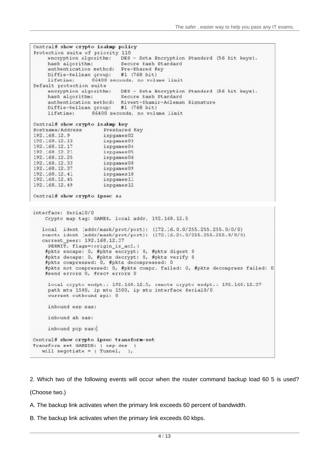```
Central# show crypto isakmp policy
Protection suite of priority 110
    encryption algorithm: DES - Data Encryption Standard (56 bit keys).
    hash algorithm:
                            Secure Hash Standard
    authentication method: Pre-Shared Key
    Diffie-Hellman group: #1 (768 bit)
    lifetime: 06400 seconds, no volume limit
Default protection suite
                           DES - Data Encryption Standard (56 bit keys).
    encryption algorithm:
    hash alcorithm:
                            Secure Eash Standard
    authentication method: Rivest-Shamir-Adleman Signature
    Diffie-Hellman group: #1 (768 bit)
    lifetime:
                  86400 seconds, no volume limit
Central# show crypto isakmp key
                      Preshared Key
Hostname/Address
192.168.12.9
                      ispgames02
192.168.12.13
                      ispganes03
                      ispganes04
192.168.12.17
192.168.12.21
                       ispgames05
                      ispganes06
192.168.12.25
192.168.12.33
                      ispgames08
192.168.12.37
                      ispganes09
192.168.12.41
                       ispganes10
192.168.12.45
                       ispganes11
192.168.12.49
                      ispganes12
Central# show crypto ipsec sa
interface: Serial0/0
   Crypto map tag: GAMES, local addr. 192.168.12.5
  local ident (addr/mask/prot/port): (172.16.0.0/255.255.255.0/0/0)
  remote ident (addr/mask/prot/port): (172.16.24.0/255.255.255.0/0/0)
   current peer: 192.168.12.37
    PERMIT, flags=(origin_is_acl,)
    #pkts encaps: 0, #pkts encrypt: 0, #pkts digest 0
   #pkts decaps: 0, #pkts decrypt: 0, #pkts verify 0
   #pkts compressed: 0, #pkts decompressed: 0
   #pkts not compressed: 0, #pkts compr. failed: 0, #pkts decompress failed: 0
   #send errors 0, #recv errors 0
    local crypto endpt.: 192.160.12.5, remote crypto endpt.: 192.160.12.37
    path mtu 1500, ip mtu 1500, ip mtu interface Serial0/0
    current outbound spi: 0
    inbound esp sas:
    inbound ah sas:
    inbound pcp sas:
Central# show crypto ipsec transform-set
Transform set GAMEDD: { esp des }
   will negotiate = \{ Tunnel, \},
```
2. Which two of the following events will occur when the router command backup load 60 5 is used?

(Choose two.)

A. The backup link activates when the primary link exceeds 60 percent of bandwidth.

B. The backup link activates when the primary link exceeds 60 kbps.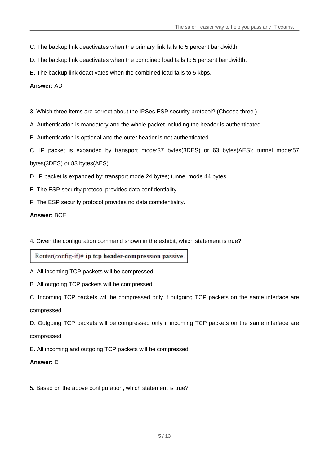- C. The backup link deactivates when the primary link falls to 5 percent bandwidth.
- D. The backup link deactivates when the combined load falls to 5 percent bandwidth.
- E. The backup link deactivates when the combined load falls to 5 kbps.

## **Answer:** AD

- 3. Which three items are correct about the IPSec ESP security protocol? (Choose three.)
- A. Authentication is mandatory and the whole packet including the header is authenticated.
- B. Authentication is optional and the outer header is not authenticated.
- C. IP packet is expanded by transport mode:37 bytes(3DES) or 63 bytes(AES); tunnel mode:57 bytes(3DES) or 83 bytes(AES)
- D. IP packet is expanded by: transport mode 24 bytes; tunnel mode 44 bytes
- E. The ESP security protocol provides data confidentiality.
- F. The ESP security protocol provides no data confidentiality.

## **Answer:** BCE

4. Given the configuration command shown in the exhibit, which statement is true?

Router(config-if)# ip tcp header-compression passive

- A. All incoming TCP packets will be compressed
- B. All outgoing TCP packets will be compressed
- C. Incoming TCP packets will be compressed only if outgoing TCP packets on the same interface are

compressed

- D. Outgoing TCP packets will be compressed only if incoming TCP packets on the same interface are compressed
- E. All incoming and outgoing TCP packets will be compressed.

## **Answer:** D

5. Based on the above configuration, which statement is true?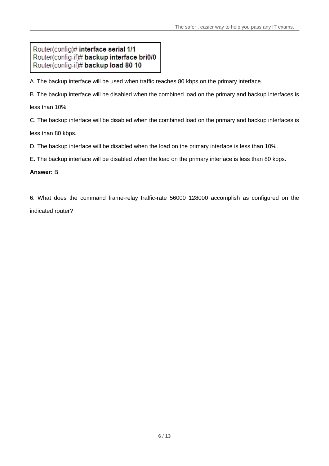## Router(config)# interface serial 1/1 Router(config-if)# backup interface bri0/0 Router(config-if)# backup load 80 10

A. The backup interface will be used when traffic reaches 80 kbps on the primary interface.

B. The backup interface will be disabled when the combined load on the primary and backup interfaces is

less than 10%

C. The backup interface will be disabled when the combined load on the primary and backup interfaces is less than 80 kbps.

D. The backup interface will be disabled when the load on the primary interface is less than 10%.

E. The backup interface will be disabled when the load on the primary interface is less than 80 kbps.

## **Answer:** B

6. What does the command frame-relay traffic-rate 56000 128000 accomplish as configured on the indicated router?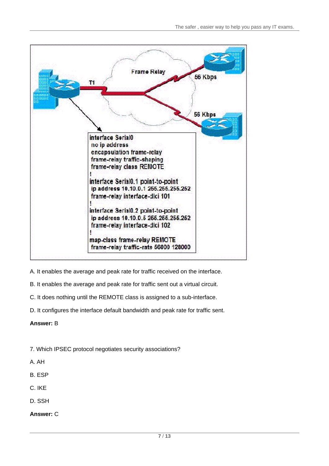

- A. It enables the average and peak rate for traffic received on the interface.
- B. It enables the average and peak rate for traffic sent out a virtual circuit.
- C. It does nothing until the REMOTE class is assigned to a sub-interface.
- D. It configures the interface default bandwidth and peak rate for traffic sent.
- **Answer:** B
- 7. Which IPSEC protocol negotiates security associations?
- A. AH
- B. ESP and the contract of the contract of the contract of the contract of the contract of the contract of the contract of the contract of the contract of the contract of the contract of the contract of the contract of the
- C. IKE
- D. SSH
- **Answer:** C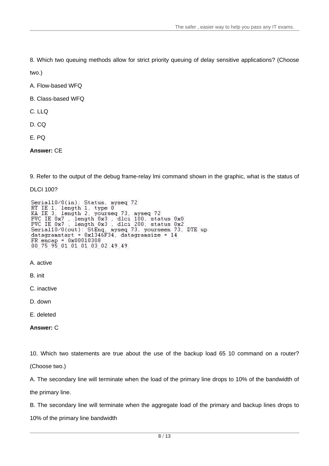8. Which two queuing methods allow for strict priority queuing of delay sensitive applications? (Choose

two.)

A. Flow-based WFQ

B. Class-based WFQ

C. LLQ

D. CQ

E. PQ

**Answer:** CE

9. Refer to the output of the debug frame-relay lmi command shown in the graphic, what is the status of

DLCI 100?

Serial10/0(in): Status, myseq 72 RT IE 1, length 1, type 0<br>KA IE 3, length 2, yourseq 73, myseq 72 PVC IE 0x7 . length 0x3 . dlci 100. status 0x0<br>PVC IE 0x7 . length 0x3 . dlci 200. status 0x2<br>Serial10/0(out): StEng. myseq 73. yourseen 73. DTE up<br>datagramstart = 0x1346F34. datagramsize = 14 FR encap = 0x00010308<br>00 75 95 01 01 01 03 02 49 49

A. active

B. init

C. inactive

D. down

E. deleted

**Answer:** C

10. Which two statements are true about the use of the backup load 65 10 command on a router? (Choose two.)

A. The secondary line will terminate when the load of the primary line drops to 10% of the bandwidth of the primary line.

B. The secondary line will terminate when the aggregate load of the primary and backup lines drops to

10% of the primary line bandwidth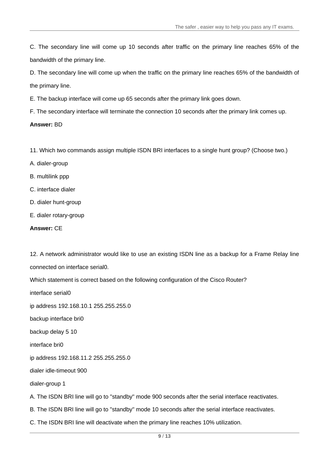C. The secondary line will come up 10 seconds after traffic on the primary line reaches 65% of the bandwidth of the primary line.

D. The secondary line will come up when the traffic on the primary line reaches 65% of the bandwidth of the primary line.

E. The backup interface will come up 65 seconds after the primary link goes down.

F. The secondary interface will terminate the connection 10 seconds after the primary link comes up.

#### **Answer:** BD

- 11. Which two commands assign multiple ISDN BRI interfaces to a single hunt group? (Choose two.)
- A. dialer-group
- B. multilink ppp
- C. interface dialer
- D. dialer hunt-group
- E. dialer rotary-group

#### **Answer:** CE

12. A network administrator would like to use an existing ISDN line as a backup for a Frame Relay line connected on interface serial0.

Which statement is correct based on the following configuration of the Cisco Router?

interface serial0

ip address 192.168.10.1 255.255.255.0

backup interface bri0

backup delay 5 10

interface bri0

ip address 192.168.11.2 255.255.255.0

dialer idle-timeout 900

dialer-group 1

A. The ISDN BRI line will go to "standby" mode 900 seconds after the serial interface reactivates.

B. The ISDN BRI line will go to "standby" mode 10 seconds after the serial interface reactivates.

C. The ISDN BRI line will deactivate when the primary line reaches 10% utilization.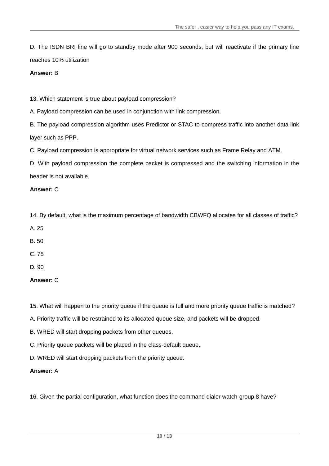D. The ISDN BRI line will go to standby mode after 900 seconds, but will reactivate if the primary line reaches 10% utilization

### **Answer:** B

13. Which statement is true about payload compression?

A. Payload compression can be used in conjunction with link compression.

B. The payload compression algorithm uses Predictor or STAC to compress traffic into another data link layer such as PPP.

C. Payload compression is appropriate for virtual network services such as Frame Relay and ATM.

D. With payload compression the complete packet is compressed and the switching information in the header is not available.

## **Answer:** C

14. By default, what is the maximum percentage of bandwidth CBWFQ allocates for all classes of traffic?

- A. 25
- B. 50
- C. 75 and 200 and 200 and 200 and 200 and 200 and 200 and 200 and 200 and 200 and 200 and 200 and 200 and 200
- D. 90

## **Answer:** C

- 15. What will happen to the priority queue if the queue is full and more priority queue traffic is matched?
- A. Priority traffic will be restrained to its allocated queue size, and packets will be dropped.
- B. WRED will start dropping packets from other queues.
- C. Priority queue packets will be placed in the class-default queue.
- D. WRED will start dropping packets from the priority queue.

## **Answer:** A

16. Given the partial configuration, what function does the command dialer watch-group 8 have?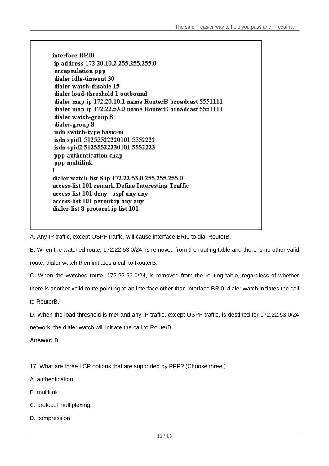interface BRI0 ip address 172.20.10.2 255.255.255.0 encapsulation ppp dialer idle-timeout 30 dialer watch-disable 15 dialer load-threshold 1 outbound dialer map ip 172.20.10.1 name RouterB broadcast 5551111 dialer map ip 172.22.53.0 name RouterB broadcast 5551111 dialer watch-group 8 dialer-group 8 isdn switch-type basic-ni isdn spidl 51255522220101 5552222 isdn spid2 51255522230101 5552223 ppp authentication chap ppp multilink ١ dialer watch-list 8 ip 172.22.53.0 255.255.255.0 access-list 101 remark Define Interesting Traffic access-list 101 deny ospf any any access-list 101 permit ip any any dialer-list 8 protocol ip list 101

A. Any IP traffic, except OSPF traffic, will cause interface BRI0 to dial RouterB.

B. When the watched route, 172.22.53.0/24, is removed from the routing table and there is no other valid

route, dialer watch then initiates a call to RouterB.

C. When the watched route, 172.22.53.0/24, is removed from the routing table, regardless of whether

there is another valid route pointing to an interface other than interface BRI0, dialer watch initiates the call

to RouterB.

D. When the load threshold is met and any IP traffic, except OSPF traffic, is destined for 172.22.53.0/24 network, the dialer watch will initiate the call to RouterB.

**Answer:** B

17. What are three LCP options that are supported by PPP? (Choose three.)

- A. authentication
- B. multilink
- C. protocol multiplexing
- D. compression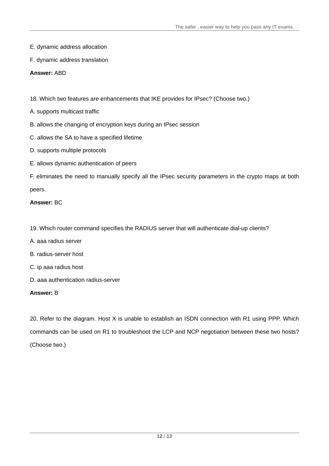- E. dynamic address allocation
- F. dynamic address translation

## **Answer:** ABD

18. Which two features are enhancements that IKE provides for IPsec? (Choose two.)

- A. supports multicast traffic
- B. allows the changing of encryption keys during an IPsec session
- C. allows the SA to have a specified lifetime
- D. supports multiple protocols
- E. allows dynamic authentication of peers

F. eliminates the need to manually specify all the IPsec security parameters in the crypto maps at both peers. The contract of the contract of the contract of the contract of the contract of the contract of the contract of the contract of the contract of the contract of the contract of the contract of the contract of the con

## **Answer:** BC

- 19. Which router command specifies the RADIUS server that will authenticate dial-up clients?
- A. aaa radius server
- B. radius-server host
- C. ip aaa radius host
- D. aaa authentication radius-server

## **Answer:** B

20. Refer to the diagram. Host X is unable to establish an ISDN connection with R1 using PPP. Which commands can be used on R1 to troubleshoot the LCP and NCP negotiation between these two hosts? (Choose two.)